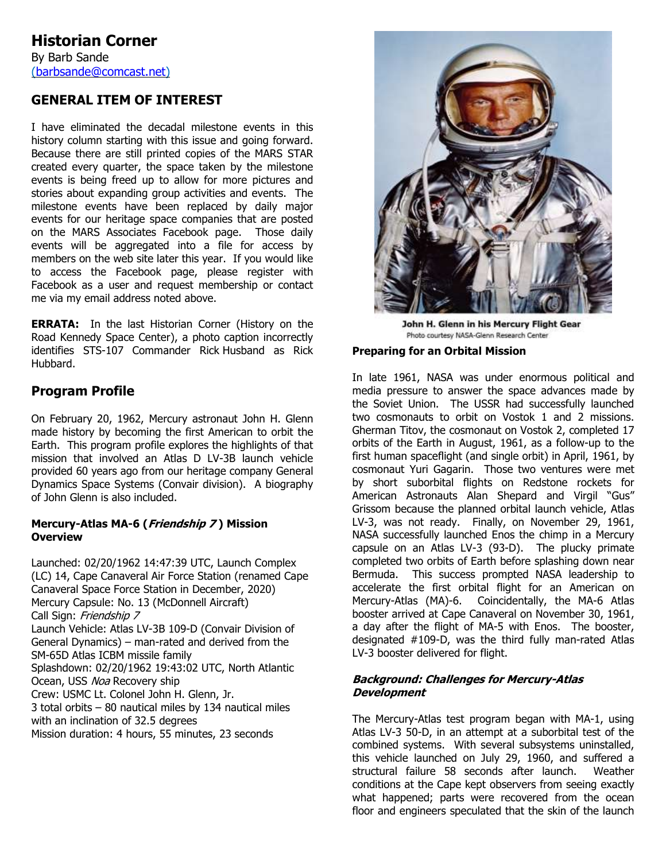# **GENERAL ITEM OF INTEREST**

I have eliminated the decadal milestone events in this history column starting with this issue and going forward. Because there are still printed copies of the MARS STAR created every quarter, the space taken by the milestone events is being freed up to allow for more pictures and stories about expanding group activities and events. The milestone events have been replaced by daily major events for our heritage space companies that are posted on the MARS Associates Facebook page. Those daily events will be aggregated into a file for access by members on the web site later this year. If you would like to access the Facebook page, please register with Facebook as a user and request membership or contact me via my email address noted above.

**ERRATA:** In the last Historian Corner (History on the Road Kennedy Space Center), a photo caption incorrectly identifies STS-107 Commander Rick Husband as Rick Hubbard.

# **Program Profile**

On February 20, 1962, Mercury astronaut John H. Glenn made history by becoming the first American to orbit the Earth. This program profile explores the highlights of that mission that involved an Atlas D LV-3B launch vehicle provided 60 years ago from our heritage company General Dynamics Space Systems (Convair division). A biography of John Glenn is also included.

### **Mercury-Atlas MA-6 (Friendship 7 ) Mission Overview**

Launched: 02/20/1962 14:47:39 UTC, Launch Complex (LC) 14, Cape Canaveral Air Force Station (renamed Cape Canaveral Space Force Station in December, 2020) Mercury Capsule: No. 13 (McDonnell Aircraft) Call Sign: Friendship 7 Launch Vehicle: Atlas LV-3B 109-D (Convair Division of General Dynamics) – man-rated and derived from the SM-65D Atlas ICBM missile family Splashdown: 02/20/1962 19:43:02 UTC, North Atlantic Ocean, USS Noa Recovery ship Crew: USMC Lt. Colonel John H. Glenn, Jr. 3 total orbits – 80 nautical miles by 134 nautical miles with an inclination of 32.5 degrees Mission duration: 4 hours, 55 minutes, 23 seconds



John H. Glenn in his Mercury Flight Gear Photo courtesy NASA-Glenn Research Center

#### **Preparing for an Orbital Mission**

In late 1961, NASA was under enormous political and media pressure to answer the space advances made by the Soviet Union. The USSR had successfully launched two cosmonauts to orbit on Vostok 1 and 2 missions. Gherman Titov, the cosmonaut on Vostok 2, completed 17 orbits of the Earth in August, 1961, as a follow-up to the first human spaceflight (and single orbit) in April, 1961, by cosmonaut Yuri Gagarin. Those two ventures were met by short suborbital flights on Redstone rockets for American Astronauts Alan Shepard and Virgil "Gus" Grissom because the planned orbital launch vehicle, Atlas LV-3, was not ready. Finally, on November 29, 1961, NASA successfully launched Enos the chimp in a Mercury capsule on an Atlas LV-3 (93-D). The plucky primate completed two orbits of Earth before splashing down near Bermuda. This success prompted NASA leadership to accelerate the first orbital flight for an American on Mercury-Atlas (MA)-6. Coincidentally, the MA-6 Atlas booster arrived at Cape Canaveral on November 30, 1961, a day after the flight of MA-5 with Enos. The booster, designated #109-D, was the third fully man-rated Atlas LV-3 booster delivered for flight.

### **Background: Challenges for Mercury-Atlas Development**

The Mercury-Atlas test program began with MA-1, using Atlas LV-3 50-D, in an attempt at a suborbital test of the combined systems. With several subsystems uninstalled, this vehicle launched on July 29, 1960, and suffered a structural failure 58 seconds after launch. Weather conditions at the Cape kept observers from seeing exactly what happened; parts were recovered from the ocean floor and engineers speculated that the skin of the launch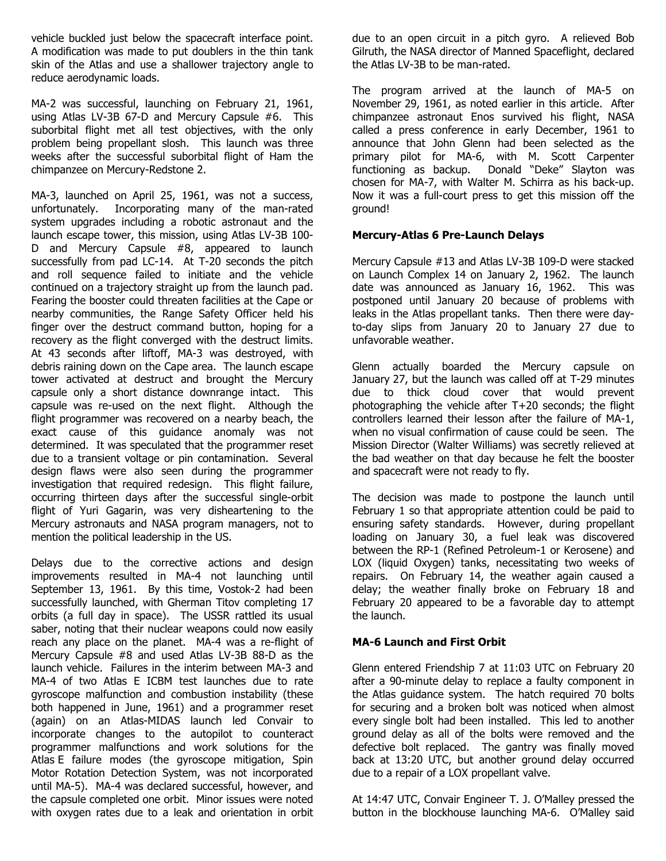vehicle buckled just below the spacecraft interface point. A modification was made to put doublers in the thin tank skin of the Atlas and use a shallower trajectory angle to reduce aerodynamic loads.

MA-2 was successful, launching on February 21, 1961, using Atlas LV-3B 67-D and Mercury Capsule #6. This suborbital flight met all test objectives, with the only problem being propellant slosh. This launch was three weeks after the successful suborbital flight of Ham the chimpanzee on Mercury-Redstone 2.

MA-3, launched on April 25, 1961, was not a success, unfortunately. Incorporating many of the man-rated system upgrades including a robotic astronaut and the launch escape tower, this mission, using Atlas LV-3B 100- D and Mercury Capsule #8, appeared to launch successfully from pad LC-14. At T-20 seconds the pitch and roll sequence failed to initiate and the vehicle continued on a trajectory straight up from the launch pad. Fearing the booster could threaten facilities at the Cape or nearby communities, the Range Safety Officer held his finger over the destruct command button, hoping for a recovery as the flight converged with the destruct limits. At 43 seconds after liftoff, MA-3 was destroyed, with debris raining down on the Cape area. The launch escape tower activated at destruct and brought the Mercury capsule only a short distance downrange intact. This capsule was re-used on the next flight. Although the flight programmer was recovered on a nearby beach, the exact cause of this guidance anomaly was not determined. It was speculated that the programmer reset due to a transient voltage or pin contamination. Several design flaws were also seen during the programmer investigation that required redesign. This flight failure, occurring thirteen days after the successful single-orbit flight of Yuri Gagarin, was very disheartening to the Mercury astronauts and NASA program managers, not to mention the political leadership in the US.

Delays due to the corrective actions and design improvements resulted in MA-4 not launching until September 13, 1961. By this time, Vostok-2 had been successfully launched, with Gherman Titov completing 17 orbits (a full day in space). The USSR rattled its usual saber, noting that their nuclear weapons could now easily reach any place on the planet. MA-4 was a re-flight of Mercury Capsule #8 and used Atlas LV-3B 88-D as the launch vehicle. Failures in the interim between MA-3 and MA-4 of two Atlas E ICBM test launches due to rate gyroscope malfunction and combustion instability (these both happened in June, 1961) and a programmer reset (again) on an Atlas-MIDAS launch led Convair to incorporate changes to the autopilot to counteract programmer malfunctions and work solutions for the Atlas E failure modes (the gyroscope mitigation, Spin Motor Rotation Detection System, was not incorporated until MA-5). MA-4 was declared successful, however, and the capsule completed one orbit. Minor issues were noted with oxygen rates due to a leak and orientation in orbit due to an open circuit in a pitch gyro. A relieved Bob Gilruth, the NASA director of Manned Spaceflight, declared the Atlas LV-3B to be man-rated.

The program arrived at the launch of MA-5 on November 29, 1961, as noted earlier in this article. After chimpanzee astronaut Enos survived his flight, NASA called a press conference in early December, 1961 to announce that John Glenn had been selected as the primary pilot for MA-6, with M. Scott Carpenter functioning as backup. Donald "Deke" Slayton was chosen for MA-7, with Walter M. Schirra as his back-up. Now it was a full-court press to get this mission off the ground!

## **Mercury-Atlas 6 Pre-Launch Delays**

Mercury Capsule #13 and Atlas LV-3B 109-D were stacked on Launch Complex 14 on January 2, 1962. The launch date was announced as January 16, 1962. This was postponed until January 20 because of problems with leaks in the Atlas propellant tanks. Then there were dayto-day slips from January 20 to January 27 due to unfavorable weather.

Glenn actually boarded the Mercury capsule on January 27, but the launch was called off at T-29 minutes due to thick cloud cover that would prevent photographing the vehicle after T+20 seconds; the flight controllers learned their lesson after the failure of MA-1, when no visual confirmation of cause could be seen. The Mission Director (Walter Williams) was secretly relieved at the bad weather on that day because he felt the booster and spacecraft were not ready to fly.

The decision was made to postpone the launch until February 1 so that appropriate attention could be paid to ensuring safety standards. However, during propellant loading on January 30, a fuel leak was discovered between the RP-1 (Refined Petroleum-1 or Kerosene) and LOX (liquid Oxygen) tanks, necessitating two weeks of repairs. On February 14, the weather again caused a delay; the weather finally broke on February 18 and February 20 appeared to be a favorable day to attempt the launch.

## **MA-6 Launch and First Orbit**

Glenn entered Friendship 7 at 11:03 UTC on February 20 after a 90-minute delay to replace a faulty component in the Atlas guidance system. The hatch required 70 bolts for securing and a broken bolt was noticed when almost every single bolt had been installed. This led to another ground delay as all of the bolts were removed and the defective bolt replaced. The gantry was finally moved back at 13:20 UTC, but another ground delay occurred due to a repair of a LOX propellant valve.

At 14:47 UTC, Convair Engineer T. J. O'Malley pressed the button in the blockhouse launching MA-6. O'Malley said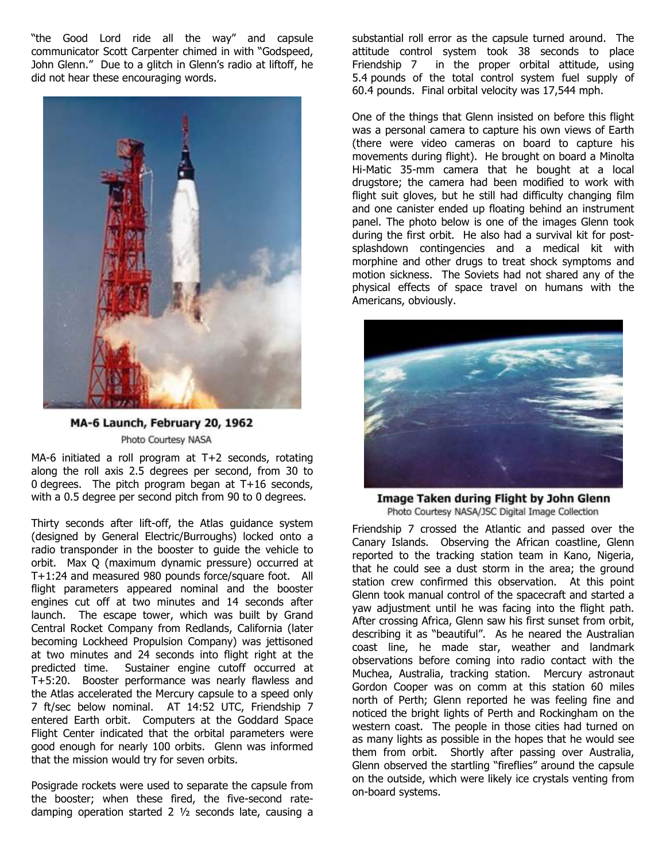"the Good Lord ride all the way" and capsule communicator Scott Carpenter chimed in with "Godspeed, John Glenn." Due to a glitch in Glenn's radio at liftoff, he did not hear these encouraging words.



# MA-6 Launch, February 20, 1962 Photo Courtesy NASA

MA-6 initiated a roll program at T+2 seconds, rotating along the roll axis 2.5 degrees per second, from 30 to 0 degrees. The pitch program began at T+16 seconds, with a 0.5 degree per second pitch from 90 to 0 degrees.

Thirty seconds after lift-off, the Atlas guidance system (designed by General Electric/Burroughs) locked onto a radio transponder in the booster to guide the vehicle to orbit. Max Q (maximum dynamic pressure) occurred at T+1:24 and measured 980 pounds force/square foot. All flight parameters appeared nominal and the booster engines cut off at two minutes and 14 seconds after launch. The escape tower, which was built by Grand Central Rocket Company from Redlands, California (later becoming Lockheed Propulsion Company) was jettisoned at two minutes and 24 seconds into flight right at the predicted time. Sustainer engine cutoff occurred at T+5:20. Booster performance was nearly flawless and the Atlas accelerated the Mercury capsule to a speed only 7 ft/sec below nominal. AT 14:52 UTC, Friendship 7 entered Earth orbit. Computers at the Goddard Space Flight Center indicated that the orbital parameters were good enough for nearly 100 orbits. Glenn was informed that the mission would try for seven orbits.

Posigrade rockets were used to separate the capsule from the booster; when these fired, the five-second ratedamping operation started 2 ½ seconds late, causing a

substantial roll error as the capsule turned around. The attitude control system took 38 seconds to place Friendship 7 in the proper orbital attitude, using 5.4 pounds of the total control system fuel supply of 60.4 pounds. Final orbital velocity was 17,544 mph.

One of the things that Glenn insisted on before this flight was a personal camera to capture his own views of Earth (there were video cameras on board to capture his movements during flight). He brought on board a Minolta Hi-Matic 35-mm camera that he bought at a local drugstore; the camera had been modified to work with flight suit gloves, but he still had difficulty changing film and one canister ended up floating behind an instrument panel. The photo below is one of the images Glenn took during the first orbit. He also had a survival kit for postsplashdown contingencies and a medical kit with morphine and other drugs to treat shock symptoms and motion sickness. The Soviets had not shared any of the physical effects of space travel on humans with the Americans, obviously.



Image Taken during Flight by John Glenn Photo Courtesy NASA/JSC Digital Image Collection

Friendship 7 crossed the Atlantic and passed over the Canary Islands. Observing the African coastline, Glenn reported to the tracking station team in Kano, Nigeria, that he could see a dust storm in the area; the ground station crew confirmed this observation. At this point Glenn took manual control of the spacecraft and started a yaw adjustment until he was facing into the flight path. After crossing Africa, Glenn saw his first sunset from orbit, describing it as "beautiful". As he neared the Australian coast line, he made star, weather and landmark observations before coming into radio contact with the Muchea, Australia, tracking station. Mercury astronaut Gordon Cooper was on comm at this station 60 miles north of Perth; Glenn reported he was feeling fine and noticed the bright lights of Perth and Rockingham on the western coast. The people in those cities had turned on as many lights as possible in the hopes that he would see them from orbit. Shortly after passing over Australia, Glenn observed the startling "fireflies" around the capsule on the outside, which were likely ice crystals venting from on-board systems.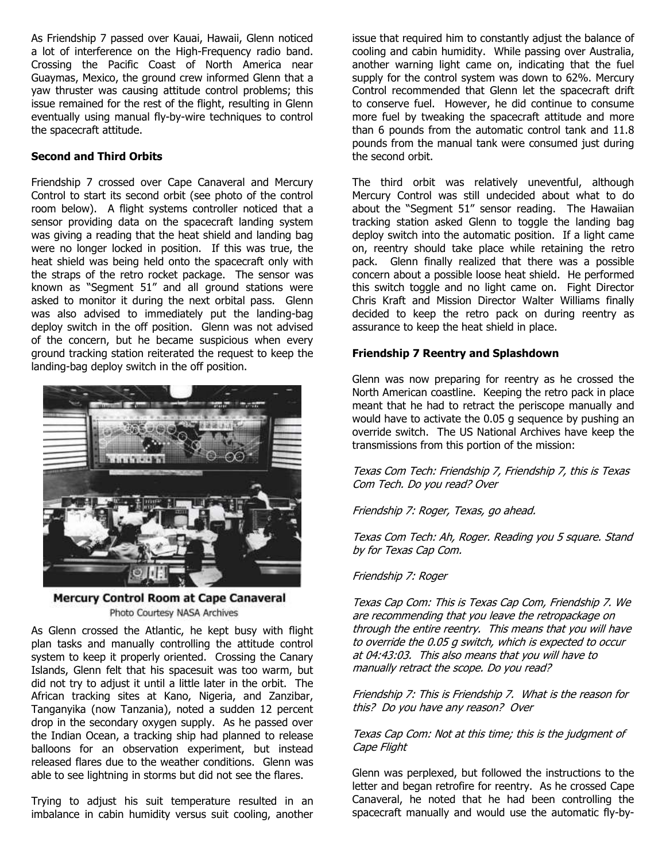As Friendship 7 passed over Kauai, Hawaii, Glenn noticed a lot of interference on the High-Frequency radio band. Crossing the Pacific Coast of North America near Guaymas, Mexico, the ground crew informed Glenn that a yaw thruster was causing attitude control problems; this issue remained for the rest of the flight, resulting in Glenn eventually using manual fly-by-wire techniques to control the spacecraft attitude.

## **Second and Third Orbits**

Friendship 7 crossed over Cape Canaveral and Mercury Control to start its second orbit (see photo of the control room below). A flight systems controller noticed that a sensor providing data on the spacecraft landing system was giving a reading that the heat shield and landing bag were no longer locked in position. If this was true, the heat shield was being held onto the spacecraft only with the straps of the retro rocket package. The sensor was known as "Segment 51" and all ground stations were asked to monitor it during the next orbital pass. Glenn was also advised to immediately put the landing-bag deploy switch in the off position. Glenn was not advised of the concern, but he became suspicious when every ground tracking station reiterated the request to keep the landing-bag deploy switch in the off position.



Mercury Control Room at Cape Canaveral Photo Courtesy NASA Archives

As Glenn crossed the Atlantic, he kept busy with flight plan tasks and manually controlling the attitude control system to keep it properly oriented. Crossing the Canary Islands, Glenn felt that his spacesuit was too warm, but did not try to adjust it until a little later in the orbit. The African tracking sites at Kano, Nigeria, and Zanzibar, Tanganyika (now Tanzania), noted a sudden 12 percent drop in the secondary oxygen supply. As he passed over the Indian Ocean, a tracking ship had planned to release balloons for an observation experiment, but instead released flares due to the weather conditions. Glenn was able to see lightning in storms but did not see the flares.

Trying to adjust his suit temperature resulted in an imbalance in cabin humidity versus suit cooling, another

issue that required him to constantly adjust the balance of cooling and cabin humidity. While passing over Australia, another warning light came on, indicating that the fuel supply for the control system was down to 62%. Mercury Control recommended that Glenn let the spacecraft drift to conserve fuel. However, he did continue to consume more fuel by tweaking the spacecraft attitude and more than 6 pounds from the automatic control tank and 11.8 pounds from the manual tank were consumed just during the second orbit.

The third orbit was relatively uneventful, although Mercury Control was still undecided about what to do about the "Segment 51" sensor reading. The Hawaiian tracking station asked Glenn to toggle the landing bag deploy switch into the automatic position. If a light came on, reentry should take place while retaining the retro pack. Glenn finally realized that there was a possible concern about a possible loose heat shield. He performed this switch toggle and no light came on. Fight Director Chris Kraft and Mission Director Walter Williams finally decided to keep the retro pack on during reentry as assurance to keep the heat shield in place.

### **Friendship 7 Reentry and Splashdown**

Glenn was now preparing for reentry as he crossed the North American coastline. Keeping the retro pack in place meant that he had to retract the periscope manually and would have to activate the 0.05 g sequence by pushing an override switch. The US National Archives have keep the transmissions from this portion of the mission:

Texas Com Tech: Friendship 7, Friendship 7, this is Texas Com Tech. Do you read? Over

Friendship 7: Roger, Texas, go ahead.

Texas Com Tech: Ah, Roger. Reading you 5 square. Stand by for Texas Cap Com.

#### Friendship 7: Roger

Texas Cap Com: This is Texas Cap Com, Friendship 7. We are recommending that you leave the retropackage on through the entire reentry. This means that you will have to override the 0.05 g switch, which is expected to occur at 04:43:03. This also means that you will have to manually retract the scope. Do you read?

Friendship 7: This is Friendship 7. What is the reason for this? Do you have any reason? Over

### Texas Cap Com: Not at this time; this is the judgment of Cape Flight

Glenn was perplexed, but followed the instructions to the letter and began retrofire for reentry. As he crossed Cape Canaveral, he noted that he had been controlling the spacecraft manually and would use the automatic fly-by-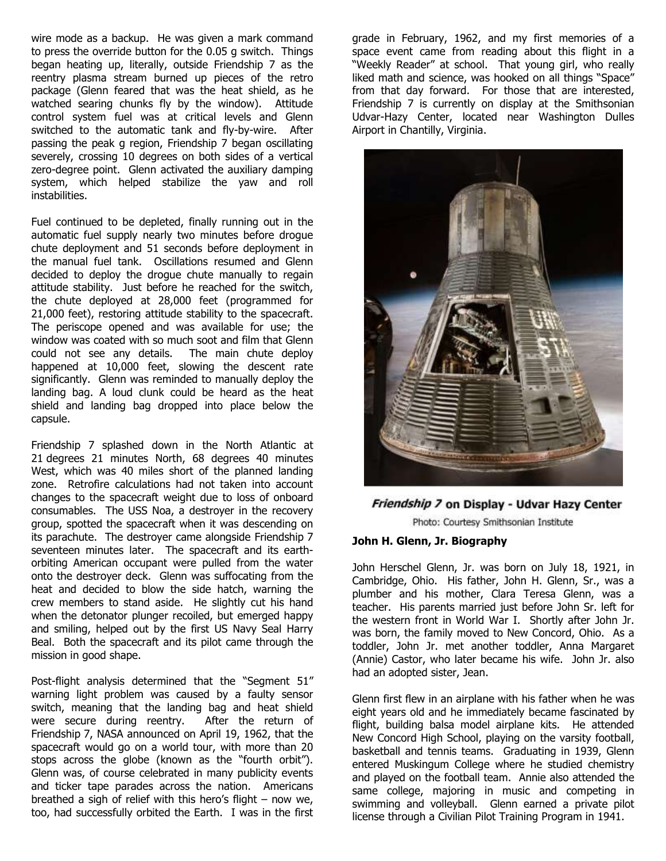wire mode as a backup. He was given a mark command to press the override button for the 0.05 g switch. Things began heating up, literally, outside Friendship 7 as the reentry plasma stream burned up pieces of the retro package (Glenn feared that was the heat shield, as he watched searing chunks fly by the window). Attitude control system fuel was at critical levels and Glenn switched to the automatic tank and fly-by-wire. After passing the peak g region, Friendship 7 began oscillating severely, crossing 10 degrees on both sides of a vertical zero-degree point. Glenn activated the auxiliary damping system, which helped stabilize the yaw and roll instabilities.

Fuel continued to be depleted, finally running out in the automatic fuel supply nearly two minutes before drogue chute deployment and 51 seconds before deployment in the manual fuel tank. Oscillations resumed and Glenn decided to deploy the drogue chute manually to regain attitude stability. Just before he reached for the switch, the chute deployed at 28,000 feet (programmed for 21,000 feet), restoring attitude stability to the spacecraft. The periscope opened and was available for use; the window was coated with so much soot and film that Glenn could not see any details. The main chute deploy happened at 10,000 feet, slowing the descent rate significantly. Glenn was reminded to manually deploy the landing bag. A loud clunk could be heard as the heat shield and landing bag dropped into place below the capsule.

Friendship 7 splashed down in the North Atlantic at 21 degrees 21 minutes North, 68 degrees 40 minutes West, which was 40 miles short of the planned landing zone. Retrofire calculations had not taken into account changes to the spacecraft weight due to loss of onboard consumables. The USS Noa, a destroyer in the recovery group, spotted the spacecraft when it was descending on its parachute. The destroyer came alongside Friendship 7 seventeen minutes later. The spacecraft and its earthorbiting American occupant were pulled from the water onto the destroyer deck. Glenn was suffocating from the heat and decided to blow the side hatch, warning the crew members to stand aside. He slightly cut his hand when the detonator plunger recoiled, but emerged happy and smiling, helped out by the first US Navy Seal Harry Beal. Both the spacecraft and its pilot came through the mission in good shape.

Post-flight analysis determined that the "Segment 51" warning light problem was caused by a faulty sensor switch, meaning that the landing bag and heat shield were secure during reentry. After the return of Friendship 7, NASA announced on April 19, 1962, that the spacecraft would go on a world tour, with more than 20 stops across the globe (known as the "fourth orbit"). Glenn was, of course celebrated in many publicity events and ticker tape parades across the nation. Americans breathed a sigh of relief with this hero's flight – now we, too, had successfully orbited the Earth. I was in the first

grade in February, 1962, and my first memories of a space event came from reading about this flight in a "Weekly Reader" at school. That young girl, who really liked math and science, was hooked on all things "Space" from that day forward. For those that are interested, Friendship 7 is currently on display at the Smithsonian Udvar-Hazy Center, located near Washington Dulles Airport in Chantilly, Virginia.



## Friendship 7 on Display - Udvar Hazy Center

Photo: Courtesy Smithsonian Institute

#### **John H. Glenn, Jr. Biography**

John Herschel Glenn, Jr. was born on July 18, 1921, in Cambridge, Ohio. His father, John H. Glenn, Sr., was a plumber and his mother, Clara Teresa Glenn, was a teacher. His parents married just before John Sr. left for the western front in World War I. Shortly after John Jr. was born, the family moved to New Concord, Ohio. As a toddler, John Jr. met another toddler, Anna Margaret (Annie) Castor, who later became his wife. John Jr. also had an adopted sister, Jean.

Glenn first flew in an airplane with his father when he was eight years old and he immediately became fascinated by flight, building balsa model airplane kits. He attended New Concord High School, playing on the varsity football, basketball and tennis teams. Graduating in 1939, Glenn entered Muskingum College where he studied chemistry and played on the football team. Annie also attended the same college, majoring in music and competing in swimming and volleyball. Glenn earned a private pilot license through a Civilian Pilot Training Program in 1941.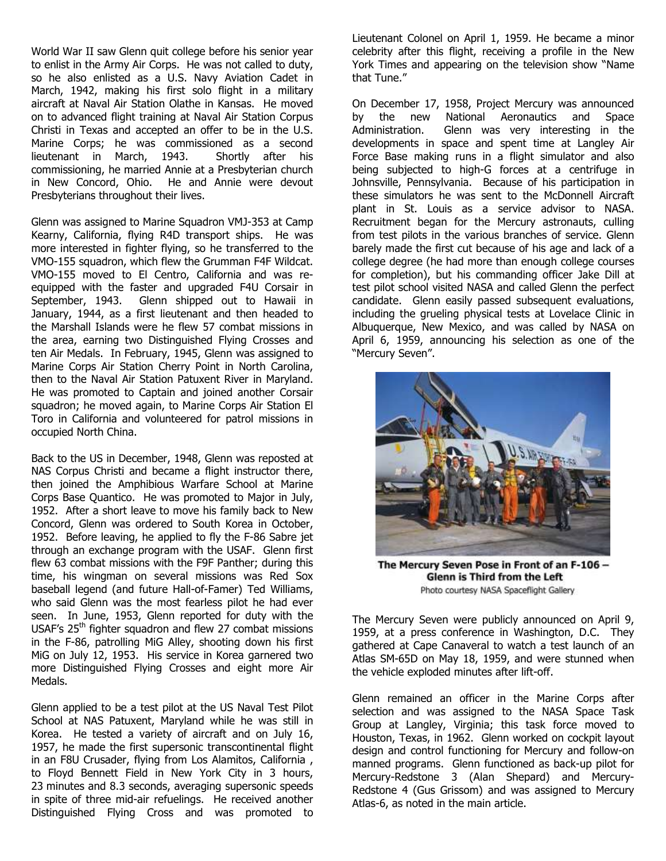World War II saw Glenn quit college before his senior year to enlist in the Army Air Corps. He was not called to duty, so he also enlisted as a U.S. Navy Aviation Cadet in March, 1942, making his first solo flight in a military aircraft at Naval Air Station Olathe in Kansas. He moved on to advanced flight training at Naval Air Station Corpus Christi in Texas and accepted an offer to be in the U.S. Marine Corps; he was commissioned as a second lieutenant in March, 1943. Shortly after his commissioning, he married Annie at a Presbyterian church in New Concord, Ohio. He and Annie were devout Presbyterians throughout their lives.

Glenn was assigned to Marine Squadron VMJ-353 at Camp Kearny, California, flying R4D transport ships. He was more interested in fighter flying, so he transferred to the VMO-155 squadron, which flew the Grumman F4F Wildcat. VMO-155 moved to El Centro, California and was reequipped with the faster and upgraded F4U Corsair in September, 1943. Glenn shipped out to Hawaii in January, 1944, as a first lieutenant and then headed to the Marshall Islands were he flew 57 combat missions in the area, earning two Distinguished Flying Crosses and ten Air Medals. In February, 1945, Glenn was assigned to Marine Corps Air Station Cherry Point in North Carolina, then to the Naval Air Station Patuxent River in Maryland. He was promoted to Captain and joined another Corsair squadron; he moved again, to Marine Corps Air Station El Toro in California and volunteered for patrol missions in occupied North China.

Back to the US in December, 1948, Glenn was reposted at NAS Corpus Christi and became a flight instructor there, then joined the Amphibious Warfare School at Marine Corps Base Quantico. He was promoted to Major in July, 1952. After a short leave to move his family back to New Concord, Glenn was ordered to South Korea in October, 1952. Before leaving, he applied to fly the F-86 Sabre jet through an exchange program with the USAF. Glenn first flew 63 combat missions with the F9F Panther; during this time, his wingman on several missions was Red Sox baseball legend (and future Hall-of-Famer) Ted Williams, who said Glenn was the most fearless pilot he had ever seen. In June, 1953, Glenn reported for duty with the USAF's 25<sup>th</sup> fighter squadron and flew 27 combat missions in the F-86, patrolling MiG Alley, shooting down his first MiG on July 12, 1953. His service in Korea garnered two more Distinguished Flying Crosses and eight more Air Medals.

Glenn applied to be a test pilot at the US Naval Test Pilot School at NAS Patuxent, Maryland while he was still in Korea. He tested a variety of aircraft and on July 16, 1957, he made the first supersonic transcontinental flight in an F8U Crusader, flying from Los Alamitos, California , to Floyd Bennett Field in New York City in 3 hours, 23 minutes and 8.3 seconds, averaging supersonic speeds in spite of three mid-air refuelings. He received another Distinguished Flying Cross and was promoted to Lieutenant Colonel on April 1, 1959. He became a minor celebrity after this flight, receiving a profile in the New York Times and appearing on the television show "Name that Tune."

On December 17, 1958, Project Mercury was announced by the new National Aeronautics and Space Administration. Glenn was very interesting in the developments in space and spent time at Langley Air Force Base making runs in a flight simulator and also being subjected to high-G forces at a centrifuge in Johnsville, Pennsylvania. Because of his participation in these simulators he was sent to the McDonnell Aircraft plant in St. Louis as a service advisor to NASA. Recruitment began for the Mercury astronauts, culling from test pilots in the various branches of service. Glenn barely made the first cut because of his age and lack of a college degree (he had more than enough college courses for completion), but his commanding officer Jake Dill at test pilot school visited NASA and called Glenn the perfect candidate. Glenn easily passed subsequent evaluations, including the grueling physical tests at Lovelace Clinic in Albuquerque, New Mexico, and was called by NASA on April 6, 1959, announcing his selection as one of the "Mercury Seven".



The Mercury Seven Pose in Front of an F-106 -Glenn is Third from the Left Photo courtesy NASA Spaceflight Gallery

The Mercury Seven were publicly announced on April 9, 1959, at a press conference in Washington, D.C. They gathered at Cape Canaveral to watch a test launch of an Atlas SM-65D on May 18, 1959, and were stunned when the vehicle exploded minutes after lift-off.

Glenn remained an officer in the Marine Corps after selection and was assigned to the NASA Space Task Group at Langley, Virginia; this task force moved to Houston, Texas, in 1962. Glenn worked on cockpit layout design and control functioning for Mercury and follow-on manned programs. Glenn functioned as back-up pilot for Mercury-Redstone 3 (Alan Shepard) and Mercury-Redstone 4 (Gus Grissom) and was assigned to Mercury Atlas-6, as noted in the main article.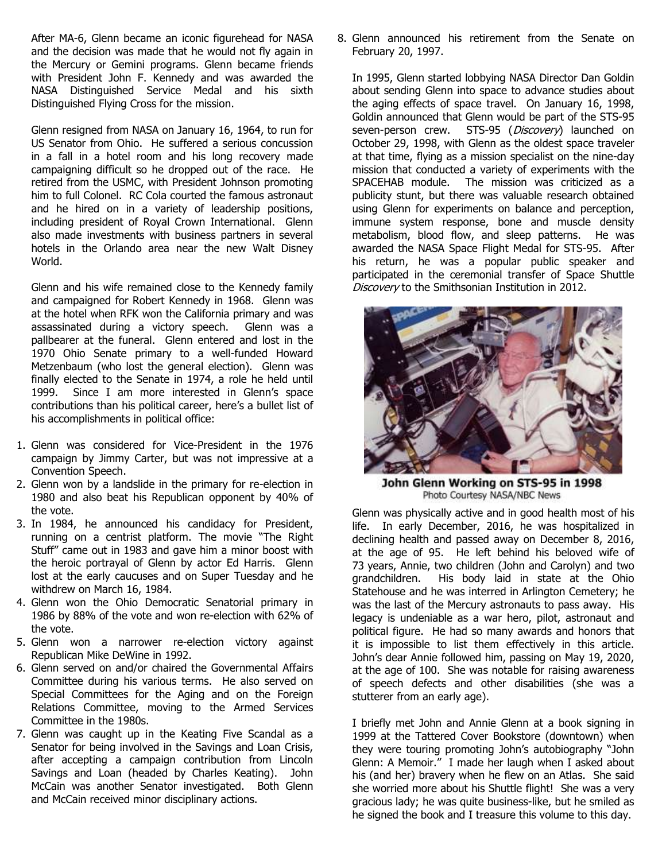After MA-6, Glenn became an iconic figurehead for NASA and the decision was made that he would not fly again in the Mercury or Gemini programs. Glenn became friends with President John F. Kennedy and was awarded the NASA Distinguished Service Medal and his sixth Distinguished Flying Cross for the mission.

Glenn resigned from NASA on January 16, 1964, to run for US Senator from Ohio. He suffered a serious concussion in a fall in a hotel room and his long recovery made campaigning difficult so he dropped out of the race. He retired from the USMC, with President Johnson promoting him to full Colonel. RC Cola courted the famous astronaut and he hired on in a variety of leadership positions, including president of Royal Crown International. Glenn also made investments with business partners in several hotels in the Orlando area near the new Walt Disney World.

Glenn and his wife remained close to the Kennedy family and campaigned for Robert Kennedy in 1968. Glenn was at the hotel when RFK won the California primary and was assassinated during a victory speech. Glenn was a pallbearer at the funeral. Glenn entered and lost in the 1970 Ohio Senate primary to a well-funded Howard Metzenbaum (who lost the general election). Glenn was finally elected to the Senate in 1974, a role he held until 1999. Since I am more interested in Glenn's space contributions than his political career, here's a bullet list of his accomplishments in political office:

- 1. Glenn was considered for Vice-President in the 1976 campaign by Jimmy Carter, but was not impressive at a Convention Speech.
- 2. Glenn won by a landslide in the primary for re-election in 1980 and also beat his Republican opponent by 40% of the vote.
- 3. In 1984, he announced his candidacy for President, running on a centrist platform. The movie "The Right Stuff" came out in 1983 and gave him a minor boost with the heroic portrayal of Glenn by actor Ed Harris. Glenn lost at the early caucuses and on Super Tuesday and he withdrew on March 16, 1984.
- 4. Glenn won the Ohio Democratic Senatorial primary in 1986 by 88% of the vote and won re-election with 62% of the vote.
- 5. Glenn won a narrower re-election victory against Republican Mike DeWine in 1992.
- 6. Glenn served on and/or chaired the Governmental Affairs Committee during his various terms. He also served on Special Committees for the Aging and on the Foreign Relations Committee, moving to the Armed Services Committee in the 1980s.
- 7. Glenn was caught up in the Keating Five Scandal as a Senator for being involved in the Savings and Loan Crisis, after accepting a campaign contribution from Lincoln Savings and Loan (headed by Charles Keating). John McCain was another Senator investigated. Both Glenn and McCain received minor disciplinary actions.

8. Glenn announced his retirement from the Senate on February 20, 1997.

In 1995, Glenn started lobbying NASA Director Dan Goldin about sending Glenn into space to advance studies about the aging effects of space travel. On January 16, 1998, Goldin announced that Glenn would be part of the STS-95 seven-person crew. STS-95 (Discovery) launched on October 29, 1998, with Glenn as the oldest space traveler at that time, flying as a mission specialist on the nine-day mission that conducted a variety of experiments with the SPACEHAB module. The mission was criticized as a publicity stunt, but there was valuable research obtained using Glenn for experiments on balance and perception, immune system response, bone and muscle density metabolism, blood flow, and sleep patterns. He was awarded the NASA Space Flight Medal for STS-95. After his return, he was a popular public speaker and participated in the ceremonial transfer of Space Shuttle Discovery to the Smithsonian Institution in 2012.



John Glenn Working on STS-95 in 1998 Photo Courtesy NASA/NBC News

Glenn was physically active and in good health most of his life. In early December, 2016, he was hospitalized in declining health and passed away on December 8, 2016, at the age of 95. He left behind his beloved wife of 73 years, Annie, two children (John and Carolyn) and two grandchildren. His body laid in state at the Ohio Statehouse and he was interred in Arlington Cemetery; he was the last of the Mercury astronauts to pass away. His legacy is undeniable as a war hero, pilot, astronaut and political figure. He had so many awards and honors that it is impossible to list them effectively in this article. John's dear Annie followed him, passing on May 19, 2020, at the age of 100. She was notable for raising awareness of speech defects and other disabilities (she was a stutterer from an early age).

I briefly met John and Annie Glenn at a book signing in 1999 at the Tattered Cover Bookstore (downtown) when they were touring promoting John's autobiography "John Glenn: A Memoir." I made her laugh when I asked about his (and her) bravery when he flew on an Atlas. She said she worried more about his Shuttle flight! She was a very gracious lady; he was quite business-like, but he smiled as he signed the book and I treasure this volume to this day.